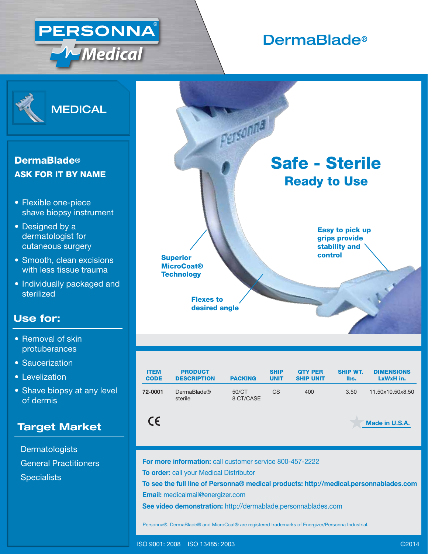

# Derma**Blade®**

Safe - Sterile

Ready to Use

Easy to pick up grips provide stability and



## **DermaBlade<sup>®</sup>** ASK FOR IT BY NAME

- Flexible one-piece shave biopsy instrument
- Designed by a dermatologist for cutaneous surgery
- Smooth, clean excisions with less tissue trauma
- Individually packaged and sterilized

## **Use for:**

- Removal of skin protuberances
- Saucerization
- Levelization
- Shave biopsy at any level of dermis

### **Target Market**

**Dermatologists** General Practitioners **Specialists** 

| <b>ITEM</b> | <b>PRODUCT</b>                | <b>PACKING</b>     | <b>SHIP</b> | <b>QTY PER</b>   | <b>SHIP WT.</b> | <b>DIMENSIONS</b> |
|-------------|-------------------------------|--------------------|-------------|------------------|-----------------|-------------------|
| <b>CODE</b> | <b>DESCRIPTION</b>            |                    | <b>UNIT</b> | <b>SHIP UNIT</b> | lbs.            | LxWxH in.         |
| 72-0001     | <b>DermaBlade®</b><br>sterile | 50/CT<br>8 CT/CASE | СS          | 400              | 3.50            | 11.50x10.50x8.50  |

 $C\epsilon$ 

**For more information:** call customer service 800-457-2222

**To order:** call your Medical Distributor

Flexes to desired angle

MicroCoat® **Technology** 

Superior **Control** Superior **Control** 

Personnal

**To see the full line of Personna® medical products: http://medical.personnablades.com Email:** medicalmail@energizer.com

**See video demonstration:** http://dermablade.personnablades.com

Personna®, DermaBlade® and MicroCoat® are registered trademarks of Energizer/Personna Industrial.

**Made in U.S.A.**